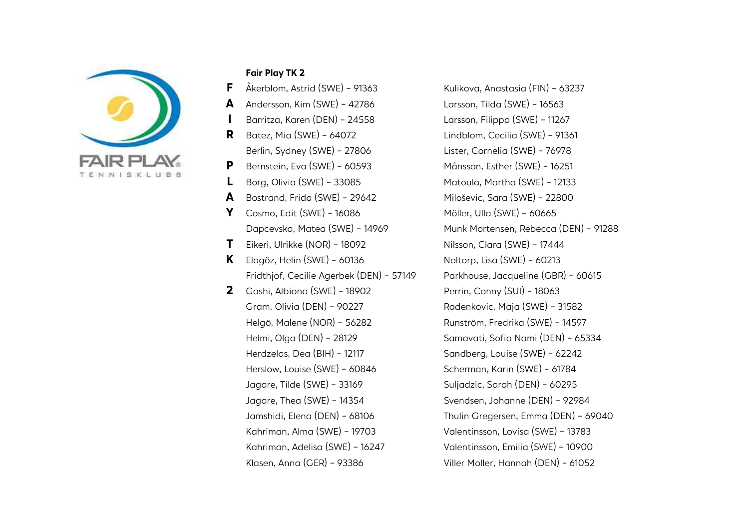

#### Fair Play TK 2

- 
- 
- 
- 
- P Bernstein, Eva (SWE) 60593 Månsson, Esther (SWE) 16251
- 
- A Bostrand, Frida (SWE) 29642 Miloševic, Sara (SWE) 22800
- **Y** Cosmo, Edit (SWE) 16086 Möller, Ulla (SWE) 60665
- T Eikeri, Ulrikke (NOR) 18092 Nilsson, Clara (SWE) 17444
- Fridthjof, Cecilie Agerbek (DEN) 57149 Parkhouse, Jacqueline (GBR) 60615
- 2 Gashi, Albiona (SWE) 18902 Perrin, Conny (SUI) 18063

**F**  $\hat{A}$ kerblom, Astrid (SWE) - 91363 Kulikova, Anastasia (FIN) - 63237 A Andersson, Kim (SWE) - 42786 Larsson, Tilda (SWE) - 16563 I Barritza, Karen (DEN) - 24558 Larsson, Filippa (SWE) - 11267 R Batez, Mia (SWE) - 64072 Lindblom, Cecilia (SWE) - 91361 Berlin, Sydney (SWE) - 27806 Lister, Cornelia (SWE) - 76978 L Borg, Olivia (SWE) - 33085 Matoula, Martha (SWE) - 12133 Dapcevska, Matea (SWE) - 14969 Munk Mortensen, Rebecca (DEN) - 91288 **K** Elagöz, Helin (SWE) - 60136  $\blacksquare$  Noltorp, Lisa (SWE) - 60213 Gram, Olivia (DEN) - 90227 Radenkovic, Maja (SWE) - 31582 Helgö, Malene (NOR) - 56282 Runström, Fredrika (SWE) - 14597 Helmi, Olga (DEN) - 28129 Samavati, Sofia Nami (DEN) - 65334 Herdzelas, Dea (BIH) - 12117 Sandberg, Louise (SWE) - 62242 Herslow, Louise (SWE) - 60846 Scherman, Karin (SWE) - 61784 Jagare, Tilde (SWE) - 33169 Suljadzic, Sarah (DEN) - 60295 Jagare, Thea (SWE) - 14354 Svendsen, Johanne (DEN) - 92984 Jamshidi, Elena (DEN) - 68106 Thulin Gregersen, Emma (DEN) - 69040 Kahriman, Alma (SWE) - 19703 Valentinsson, Lovisa (SWE) - 13783 Kahriman, Adelisa (SWE) - 16247 Valentinsson, Emilia (SWE) - 10900 Klasen, Anna (GER) - 93386 Viller Moller, Hannah (DEN) - 61052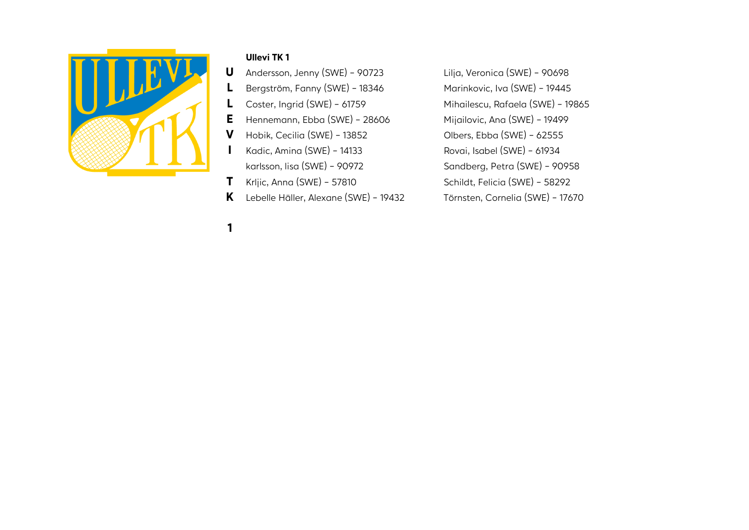

## Ullevi TK 1

- L Bergström, Fanny (SWE) 18346 Marinkovic, Iva (SWE) 19445
	-
- E Hennemann, Ebba (SWE) 28606 Mijailovic, Ana (SWE) 19499
- V Hobik, Cecilia (SWE) 13852 Olbers, Ebba (SWE) 62555
	-
	-
	-
- K Lebelle Häller, Alexane (SWE) 19432 Törnsten, Cornelia (SWE) 17670

1

U Andersson, Jenny (SWE) - 90723 Lilja, Veronica (SWE) - 90698 L Coster, Ingrid (SWE) - 61759 Mihailescu, Rafaela (SWE) - 19865 I Kadic, Amina (SWE) - 14133 Rovai, Isabel (SWE) - 61934 karlsson, lisa (SWE) - 90972 Sandberg, Petra (SWE) - 90958  $\blacksquare$  Krijic, Anna (SWE) - 57810 Schildt, Felicia (SWE) - 58292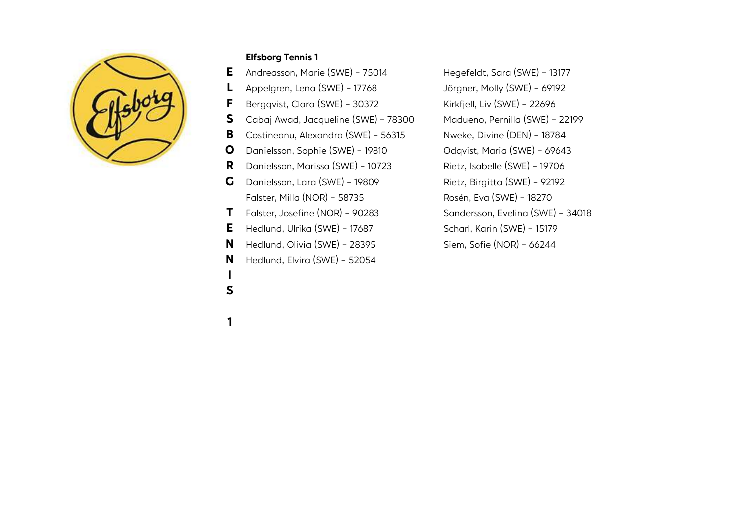

#### Elfsborg Tennis 1

- E Andreasson, Marie (SWE) 75014 Hegefeldt, Sara (SWE) 13177
	-
- **F** Bergqvist, Clara (SWE) 30372 Kirkfjell, Liv (SWE) 22696
- S Cabaj Awad, Jacqueline (SWE) 78300 Madueno, Pernilla (SWE) 22199
- B Costineanu, Alexandra (SWE) 56315 Nweke, Divine (DEN) 18784
	-
- R Danielsson, Marissa (SWE) 10723 Rietz, Isabelle (SWE) 19706
- G Danielsson, Lara (SWE) 19809 Rietz, Birgitta (SWE) 92192 Falster, Milla (NOR) - 58735 Rosén, Eva (SWE) - 18270
- 
- E Hedlund, Ulrika (SWE) 17687 Scharl, Karin (SWE) 15179
- N Hedlund, Olivia (SWE) 28395 Siem, Sofie (NOR) 66244
- N Hedlund, Elvira (SWE) 52054

L Appelgren, Lena (SWE) - 17768 Jörgner, Molly (SWE) - 69192 O Danielsson, Sophie (SWE) - 19810 Odqvist, Maria (SWE) - 69643 T Falster, Josefine (NOR) - 90283 Sandersson, Evelina (SWE) - 34018

1

I S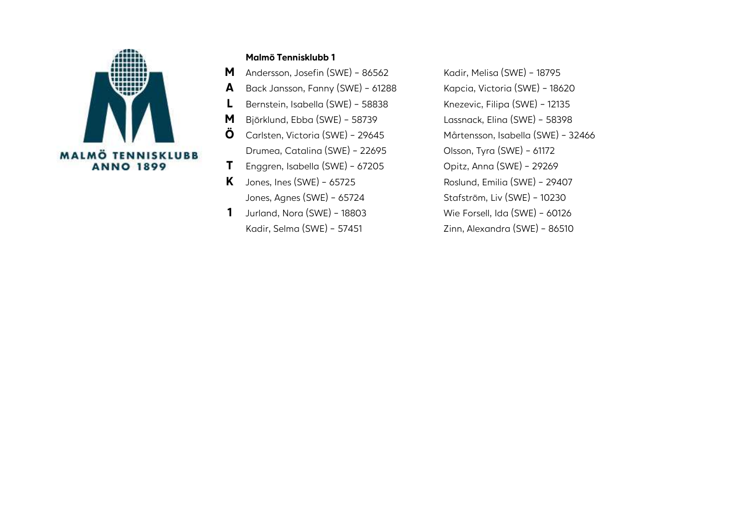

#### Malmö Tennisklubb 1

**M** Andersson, Josefin (SWE) - 86562 Kadir, Melisa (SWE) - 18795

L Bernstein, Isabella (SWE) - 58838 Knezevic, Filipa (SWE) - 12135

1 Jurland, Nora (SWE) - 18803 Wie Forsell, Ida (SWE) - 60126

A Back Jansson, Fanny (SWE) - 61288 Kapcia, Victoria (SWE) - 18620 M Björklund, Ebba (SWE) - 58739 Lassnack, Elina (SWE) - 58398 Ö Carlsten, Victoria (SWE) - 29645 Mårtensson, Isabella (SWE) - 32466 Drumea, Catalina (SWE) - 22695 Olsson, Tyra (SWE) - 61172 T Enggren, Isabella (SWE) - 67205 Opitz, Anna (SWE) - 29269  $K$  Jones, Ines (SWE) - 65725 Roslund, Emilia (SWE) - 29407 Jones, Agnes (SWE) - 65724 Stafström, Liv (SWE) - 10230 Kadir, Selma (SWE) - 57451 Zinn, Alexandra (SWE) - 86510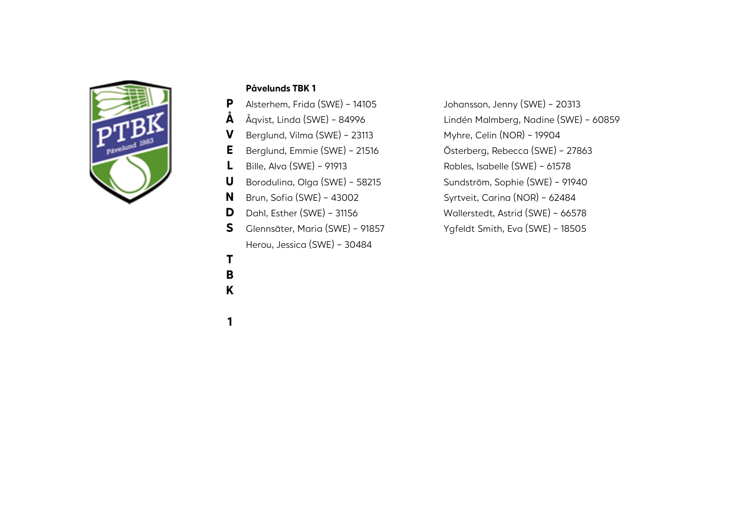

## Påvelunds TBK 1

- P Alsterhem, Frida (SWE) 14105 Johansson, Jenny (SWE) 20313
- 
- V Berglund, Vilma (SWE) 23113 Myhre, Celin (NOR) 19904
- 
- 
- 
- 
- D Dahl, Esther (SWE) 31156 Wallerstedt, Astrid (SWE) 66578
- S Glennsäter, Maria (SWE) 91857 Ygfeldt Smith, Eva (SWE) 18505 Herou, Jessica (SWE) - 30484
- Å Åqvist, Linda (SWE) 84996 Lindén Malmberg, Nadine (SWE) 60859 E Berglund, Emmie (SWE) - 21516 Österberg, Rebecca (SWE) - 27863 L Bille, Alva (SWE) - 91913 Robles, Isabelle (SWE) - 61578 U Borodulina, Olga (SWE) - 58215 Sundström, Sophie (SWE) - 91940 N Brun, Sofia (SWE) - 43002 Syrtveit, Carina (NOR) - 62484
	-
	-

- T
- B
- K
- 1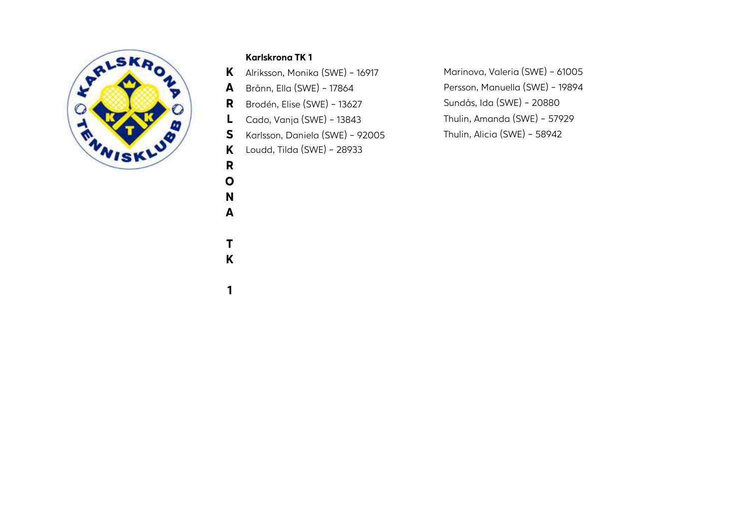

# Karlskrona TK 1

R O N A

T K

1

S Karlsson, Daniela (SWE) - 92005 Thulin, Alicia (SWE) - 58942

K Loudd, Tilda (SWE) - 28933

K Alriksson, Monika (SWE) - 16917 Marinova, Valeria (SWE) - 61005 A Brånn, Ella (SWE) - 17864 Persson, Manuella (SWE) - 19894 R Brodén, Elise (SWE) - 13627 Sundås, Ida (SWE) - 20880 L Cado, Vanja (SWE) - 13843 Thulin, Amanda (SWE) - 57929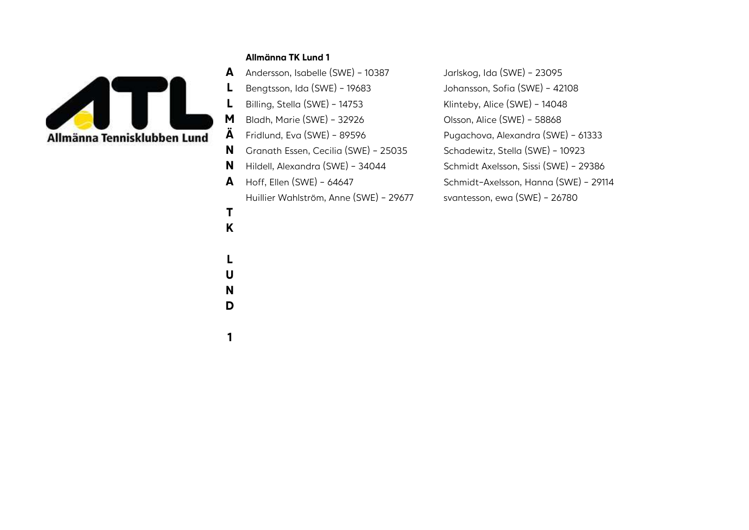

#### Allmänna TK Lund 1

T K

L U N D

1

A Andersson, Isabelle (SWE) - 10387 Jarlskog, Ida (SWE) - 23095 L Bengtsson, Ida (SWE) - 19683 Johansson, Sofia (SWE) - 42108 Billing, Stella (SWE) - 14753 Klinteby, Alice (SWE) - 14048 **M** Bladh, Marie (SWE) - 32926 Olsson, Alice (SWE) - 58868  $\hat{A}$  Fridlund, Eva (SWE) - 89596 Pugachova, Alexandra (SWE) - 61333 N Granath Essen, Cecilia (SWE) - 25035 Schadewitz, Stella (SWE) - 10923 N Hildell, Alexandra (SWE) - 34044 Schmidt Axelsson, Sissi (SWE) - 29386 A Hoff, Ellen (SWE) - 64647 Schmidt-Axelsson, Hanna (SWE) - 29114

Huillier Wahlström, Anne (SWE) - 29677 svantesson, ewa (SWE) - 26780